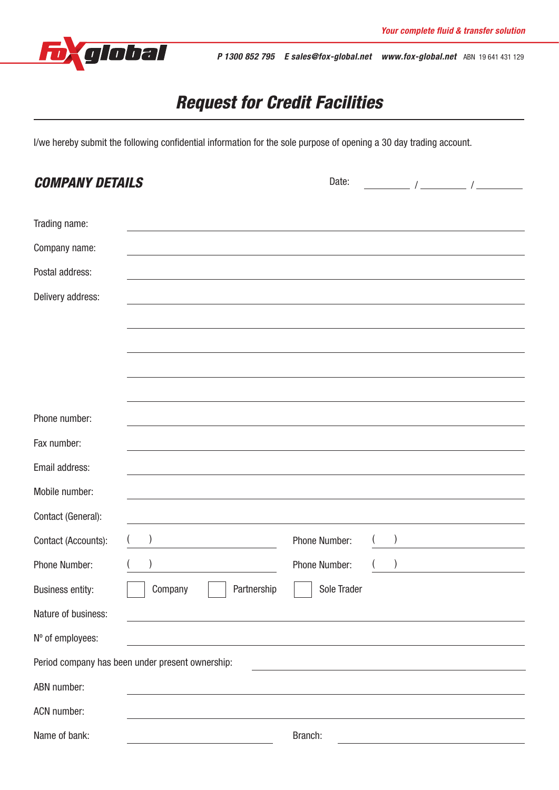

*P 1300 852 795 E sales@fox-global.net www.fox-global.net* ABN 19 641 431 129

# *Request for Credit Facilities*

I/we hereby submit the following confidential information for the sole purpose of opening a 30 day trading account.

| <b>COMPANY DETAILS</b>                                                                                                                                                                                                                              | Date:<br>$\frac{1}{2}$ $\frac{1}{2}$ $\frac{1}{2}$ $\frac{1}{2}$ $\frac{1}{2}$ $\frac{1}{2}$ $\frac{1}{2}$ $\frac{1}{2}$ $\frac{1}{2}$ $\frac{1}{2}$ $\frac{1}{2}$ $\frac{1}{2}$ $\frac{1}{2}$ $\frac{1}{2}$ $\frac{1}{2}$ $\frac{1}{2}$ $\frac{1}{2}$ $\frac{1}{2}$ $\frac{1}{2}$ $\frac{1}{2}$ $\frac{1}{2}$ $\frac{1}{2}$ |  |  |  |  |
|-----------------------------------------------------------------------------------------------------------------------------------------------------------------------------------------------------------------------------------------------------|------------------------------------------------------------------------------------------------------------------------------------------------------------------------------------------------------------------------------------------------------------------------------------------------------------------------------|--|--|--|--|
| Trading name:                                                                                                                                                                                                                                       |                                                                                                                                                                                                                                                                                                                              |  |  |  |  |
| Company name:                                                                                                                                                                                                                                       |                                                                                                                                                                                                                                                                                                                              |  |  |  |  |
| Postal address:                                                                                                                                                                                                                                     |                                                                                                                                                                                                                                                                                                                              |  |  |  |  |
| Delivery address:                                                                                                                                                                                                                                   |                                                                                                                                                                                                                                                                                                                              |  |  |  |  |
|                                                                                                                                                                                                                                                     |                                                                                                                                                                                                                                                                                                                              |  |  |  |  |
|                                                                                                                                                                                                                                                     |                                                                                                                                                                                                                                                                                                                              |  |  |  |  |
|                                                                                                                                                                                                                                                     |                                                                                                                                                                                                                                                                                                                              |  |  |  |  |
|                                                                                                                                                                                                                                                     |                                                                                                                                                                                                                                                                                                                              |  |  |  |  |
| Phone number:                                                                                                                                                                                                                                       |                                                                                                                                                                                                                                                                                                                              |  |  |  |  |
| Fax number:                                                                                                                                                                                                                                         |                                                                                                                                                                                                                                                                                                                              |  |  |  |  |
| Email address:                                                                                                                                                                                                                                      |                                                                                                                                                                                                                                                                                                                              |  |  |  |  |
| Mobile number:                                                                                                                                                                                                                                      |                                                                                                                                                                                                                                                                                                                              |  |  |  |  |
| Contact (General):<br>the control of the control of the control of the control of the control of the control of the control of the control of the control of the control of the control of the control of the control of the control of the control |                                                                                                                                                                                                                                                                                                                              |  |  |  |  |
| Contact (Accounts):                                                                                                                                                                                                                                 | Phone Number:                                                                                                                                                                                                                                                                                                                |  |  |  |  |
| Phone Number:                                                                                                                                                                                                                                       | <b>Phone Number:</b>                                                                                                                                                                                                                                                                                                         |  |  |  |  |
| <b>Business entity:</b><br>Company<br>Partnership                                                                                                                                                                                                   | Sole Trader                                                                                                                                                                                                                                                                                                                  |  |  |  |  |
| Nature of business:                                                                                                                                                                                                                                 |                                                                                                                                                                                                                                                                                                                              |  |  |  |  |
| Nº of employees:                                                                                                                                                                                                                                    |                                                                                                                                                                                                                                                                                                                              |  |  |  |  |
| Period company has been under present ownership:<br><u> 1980 - Johann Barbara, martxa alemaniar amerikan a</u>                                                                                                                                      |                                                                                                                                                                                                                                                                                                                              |  |  |  |  |
| ABN number:                                                                                                                                                                                                                                         |                                                                                                                                                                                                                                                                                                                              |  |  |  |  |
| ACN number:                                                                                                                                                                                                                                         |                                                                                                                                                                                                                                                                                                                              |  |  |  |  |
| Name of bank:<br><u> 1980 - Johann Barn, mars ann an t-Amhain Aonaich an t-Aonaich an t-Aonaich ann an t-Aonaich ann an t-Aonaich</u>                                                                                                               | Branch:<br><u> 1980 - Johann Barn, fransk politik (d. 1980)</u>                                                                                                                                                                                                                                                              |  |  |  |  |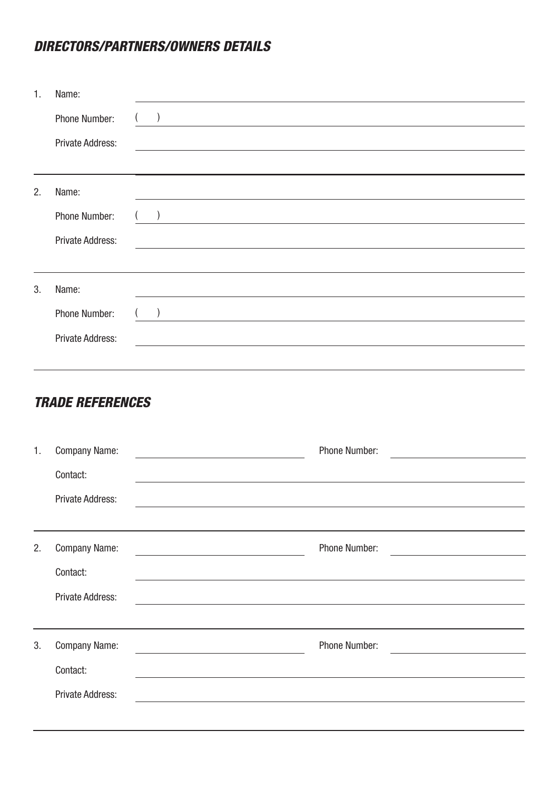## *DIRECTORS/PARTNERS/OWNERS DETAILS*

| $\mathbf{1}$ . | Name:                   |                                                                                                                  |
|----------------|-------------------------|------------------------------------------------------------------------------------------------------------------|
|                | Phone Number:           |                                                                                                                  |
|                | Private Address:        |                                                                                                                  |
|                |                         |                                                                                                                  |
| 2.             | Name:                   |                                                                                                                  |
|                | Phone Number:           |                                                                                                                  |
|                | Private Address:        | and the control of the control of the control of the control of the control of the control of the control of the |
|                |                         |                                                                                                                  |
| 3.             | Name:                   |                                                                                                                  |
|                | Phone Number:           |                                                                                                                  |
|                | <b>Private Address:</b> |                                                                                                                  |
|                |                         |                                                                                                                  |

### *TRADE REFERENCES*

| $\mathbf{1}$ . | <b>Company Name:</b>    | <b>Phone Number:</b> |
|----------------|-------------------------|----------------------|
|                | Contact:                |                      |
|                | <b>Private Address:</b> |                      |
|                |                         |                      |
| 2.             | <b>Company Name:</b>    | Phone Number:        |
|                | Contact:                |                      |
|                | <b>Private Address:</b> |                      |
|                |                         |                      |
| 3.             | <b>Company Name:</b>    | Phone Number:        |
|                | Contact:                |                      |
|                | Private Address:        |                      |
|                |                         |                      |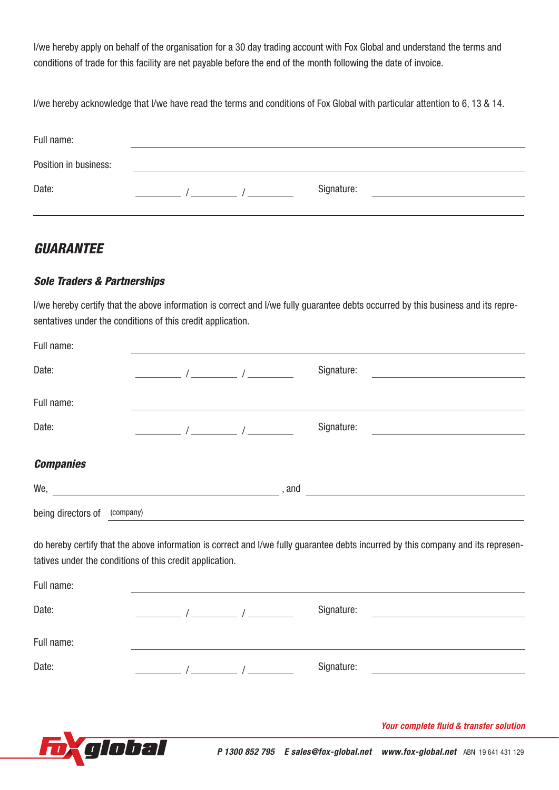I/we hereby apply on behalf of the organisation for a 30 day trading account with Fox Global and understand the terms and conditions of trade for this facility are net payable before the end of the month following the date of invoice.

I/we hereby acknowledge that I/we have read the terms and conditions of Fox Global with particular attention to 6, 13 & 14.

| Full name:            |  |            |  |
|-----------------------|--|------------|--|
| Position in business: |  |            |  |
| Date:                 |  | Signature: |  |

### *GUARANTEE*

### *Sole Traders & Partnerships*

I/we hereby certify that the above information is correct and I/we fully guarantee debts occurred by this business and its representatives under the conditions of this credit application.

| Full name:                                                             |                                                                                                                                                                                                                                                                                                                                                                                                                     |            |                                                                                                                                   |
|------------------------------------------------------------------------|---------------------------------------------------------------------------------------------------------------------------------------------------------------------------------------------------------------------------------------------------------------------------------------------------------------------------------------------------------------------------------------------------------------------|------------|-----------------------------------------------------------------------------------------------------------------------------------|
| Date:                                                                  | $\frac{1}{\sqrt{1-\frac{1}{2}}}\int$                                                                                                                                                                                                                                                                                                                                                                                | Signature: |                                                                                                                                   |
| Full name:                                                             |                                                                                                                                                                                                                                                                                                                                                                                                                     |            | ,我们也不会有什么。""我们的人,我们也不会有什么?""我们的人,我们也不会有什么?""我们的人,我们的人,我们的人,我们的人,我们的人,我们的人,我们的人,我                                                  |
| Date:                                                                  | $\frac{1}{\sqrt{1-\frac{1}{2}}}\int_{-\frac{1}{2}}^{\frac{1}{2}}\frac{1}{\sqrt{1-\frac{1}{2}}\sqrt{1-\frac{1}{2}}\sqrt{1-\frac{1}{2}}\sqrt{1-\frac{1}{2}}\sqrt{1-\frac{1}{2}}\sqrt{1-\frac{1}{2}}\sqrt{1-\frac{1}{2}}\sqrt{1-\frac{1}{2}}\sqrt{1-\frac{1}{2}}\sqrt{1-\frac{1}{2}}\sqrt{1-\frac{1}{2}}\sqrt{1-\frac{1}{2}}\sqrt{1-\frac{1}{2}}\sqrt{1-\frac{1}{2}}\sqrt{1-\frac{1}{2}}\sqrt{1-\frac{1}{2}}\sqrt{1-\$ | Signature: |                                                                                                                                   |
| <b>Companies</b>                                                       |                                                                                                                                                                                                                                                                                                                                                                                                                     |            |                                                                                                                                   |
|                                                                        |                                                                                                                                                                                                                                                                                                                                                                                                                     |            | $\mathsf{We}, \underline{\hspace{1cm}}$ , and                                                                                     |
| being directors of (company)                                           |                                                                                                                                                                                                                                                                                                                                                                                                                     |            | and the control of the control of the control of the control of the control of the control of the control of the                  |
| tatives under the conditions of this credit application.<br>Full name: |                                                                                                                                                                                                                                                                                                                                                                                                                     |            | do hereby certify that the above information is correct and I/we fully guarantee debts incurred by this company and its represen- |
| Date:                                                                  | $\frac{1}{2}$ $\frac{1}{2}$ $\frac{1}{2}$ $\frac{1}{2}$ $\frac{1}{2}$ $\frac{1}{2}$ $\frac{1}{2}$ $\frac{1}{2}$ $\frac{1}{2}$ $\frac{1}{2}$ $\frac{1}{2}$ $\frac{1}{2}$ $\frac{1}{2}$ $\frac{1}{2}$ $\frac{1}{2}$ $\frac{1}{2}$ $\frac{1}{2}$ $\frac{1}{2}$ $\frac{1}{2}$ $\frac{1}{2}$ $\frac{1}{2}$ $\frac{1}{2}$                                                                                                 | Signature: | the control of the control of the control of                                                                                      |
| Full name:                                                             |                                                                                                                                                                                                                                                                                                                                                                                                                     |            |                                                                                                                                   |
| Date:                                                                  | $\frac{1}{2}$ $\frac{1}{2}$ $\frac{1}{2}$ $\frac{1}{2}$ $\frac{1}{2}$ $\frac{1}{2}$ $\frac{1}{2}$ $\frac{1}{2}$ $\frac{1}{2}$ $\frac{1}{2}$ $\frac{1}{2}$ $\frac{1}{2}$ $\frac{1}{2}$ $\frac{1}{2}$ $\frac{1}{2}$ $\frac{1}{2}$ $\frac{1}{2}$ $\frac{1}{2}$ $\frac{1}{2}$ $\frac{1}{2}$ $\frac{1}{2}$ $\frac{1}{2}$                                                                                                 | Signature: | <u> 1980 - Jan Samuel Barbara, margaret e</u>                                                                                     |
|                                                                        |                                                                                                                                                                                                                                                                                                                                                                                                                     |            |                                                                                                                                   |
|                                                                        |                                                                                                                                                                                                                                                                                                                                                                                                                     |            | Your complete fluid & transfer solution                                                                                           |
| nlobal                                                                 |                                                                                                                                                                                                                                                                                                                                                                                                                     |            | P 1300 852 795 E sales@fox-global.net www.fox-global.net ABN 19641 431 129                                                        |